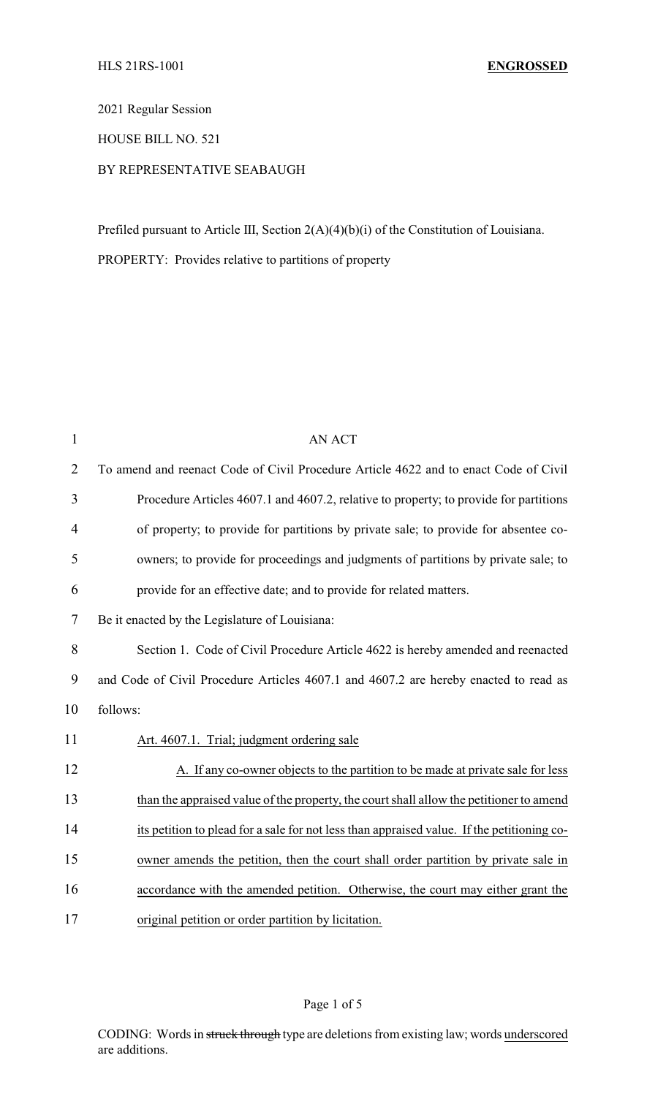2021 Regular Session

HOUSE BILL NO. 521

## BY REPRESENTATIVE SEABAUGH

Prefiled pursuant to Article III, Section 2(A)(4)(b)(i) of the Constitution of Louisiana.

PROPERTY: Provides relative to partitions of property

| $\mathbf{1}$   | <b>AN ACT</b>                                                                              |  |
|----------------|--------------------------------------------------------------------------------------------|--|
| $\overline{2}$ | To amend and reenact Code of Civil Procedure Article 4622 and to enact Code of Civil       |  |
| 3              | Procedure Articles 4607.1 and 4607.2, relative to property; to provide for partitions      |  |
| $\overline{4}$ | of property; to provide for partitions by private sale; to provide for absentee co-        |  |
| 5              | owners; to provide for proceedings and judgments of partitions by private sale; to         |  |
| 6              | provide for an effective date; and to provide for related matters.                         |  |
| 7              | Be it enacted by the Legislature of Louisiana:                                             |  |
| 8              | Section 1. Code of Civil Procedure Article 4622 is hereby amended and reenacted            |  |
| 9              | and Code of Civil Procedure Articles 4607.1 and 4607.2 are hereby enacted to read as       |  |
| 10             | follows:                                                                                   |  |
| 11             | Art. 4607.1. Trial; judgment ordering sale                                                 |  |
| 12             | A. If any co-owner objects to the partition to be made at private sale for less            |  |
| 13             | than the appraised value of the property, the court shall allow the petitioner to amend    |  |
| 14             | its petition to plead for a sale for not less than appraised value. If the petitioning co- |  |
| 15             | owner amends the petition, then the court shall order partition by private sale in         |  |
| 16             | accordance with the amended petition. Otherwise, the court may either grant the            |  |
| 17             | original petition or order partition by licitation.                                        |  |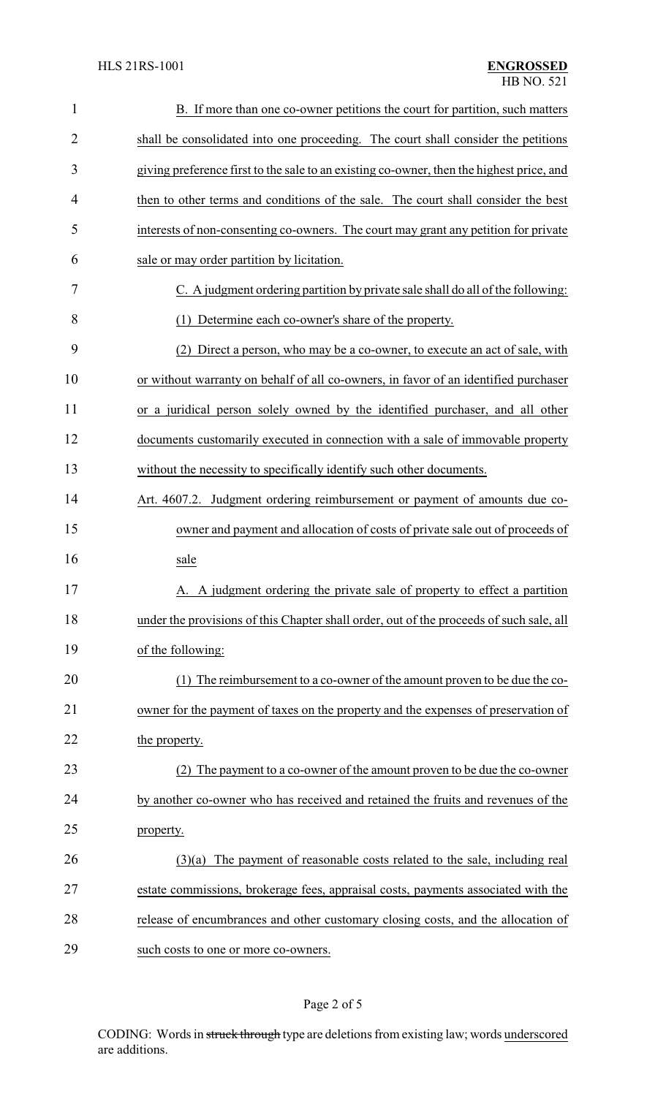| $\mathbf{1}$   | B. If more than one co-owner petitions the court for partition, such matters             |  |
|----------------|------------------------------------------------------------------------------------------|--|
| $\overline{2}$ | shall be consolidated into one proceeding. The court shall consider the petitions        |  |
| 3              | giving preference first to the sale to an existing co-owner, then the highest price, and |  |
| $\overline{4}$ | then to other terms and conditions of the sale. The court shall consider the best        |  |
| 5              | interests of non-consenting co-owners. The court may grant any petition for private      |  |
| 6              | sale or may order partition by licitation.                                               |  |
| 7              | C. A judgment ordering partition by private sale shall do all of the following:          |  |
| 8              | (1) Determine each co-owner's share of the property.                                     |  |
| 9              | Direct a person, who may be a co-owner, to execute an act of sale, with                  |  |
| 10             | or without warranty on behalf of all co-owners, in favor of an identified purchaser      |  |
| 11             | or a juridical person solely owned by the identified purchaser, and all other            |  |
| 12             | documents customarily executed in connection with a sale of immovable property           |  |
| 13             | without the necessity to specifically identify such other documents.                     |  |
| 14             | Art. 4607.2. Judgment ordering reimbursement or payment of amounts due co-               |  |
| 15             | owner and payment and allocation of costs of private sale out of proceeds of             |  |
| 16             | sale                                                                                     |  |
| 17             | A. A judgment ordering the private sale of property to effect a partition                |  |
| 18             | under the provisions of this Chapter shall order, out of the proceeds of such sale, all  |  |
| 19             | of the following:                                                                        |  |
| 20             | (1) The reimbursement to a co-owner of the amount proven to be due the co-               |  |
| 21             | owner for the payment of taxes on the property and the expenses of preservation of       |  |
| 22             | the property.                                                                            |  |
| 23             | (2) The payment to a co-owner of the amount proven to be due the co-owner                |  |
| 24             | by another co-owner who has received and retained the fruits and revenues of the         |  |
| 25             | property.                                                                                |  |
| 26             | The payment of reasonable costs related to the sale, including real<br>(3)(a)            |  |
| 27             | estate commissions, brokerage fees, appraisal costs, payments associated with the        |  |
| 28             | release of encumbrances and other customary closing costs, and the allocation of         |  |
| 29             | such costs to one or more co-owners.                                                     |  |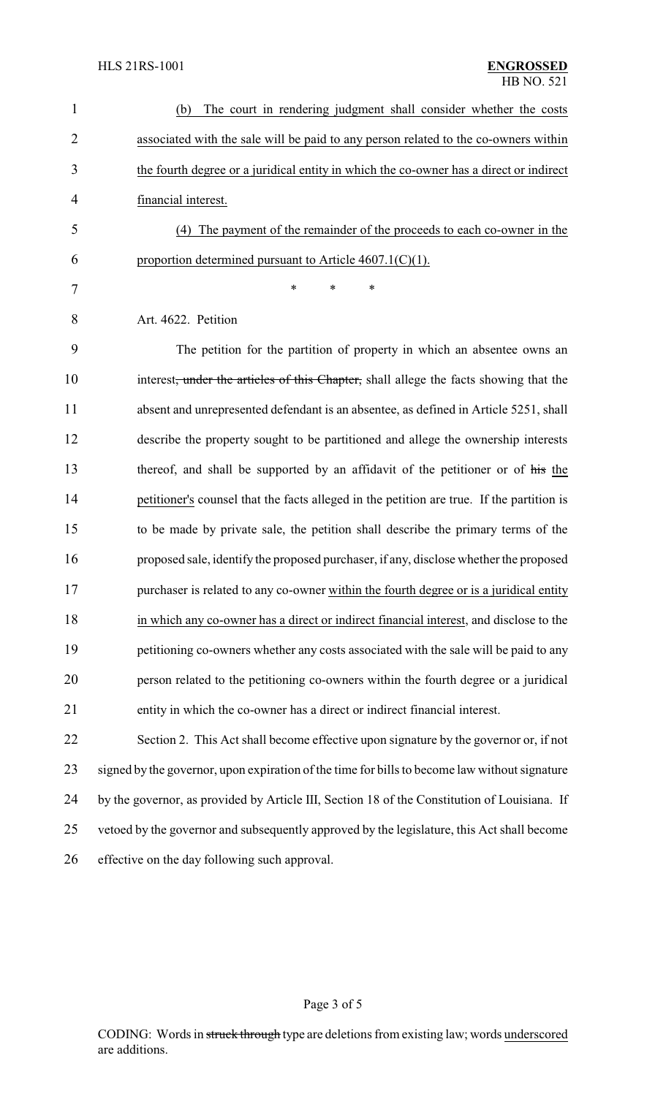| $\mathbf{1}$   | The court in rendering judgment shall consider whether the costs<br>(b)                           |
|----------------|---------------------------------------------------------------------------------------------------|
| $\overline{2}$ | associated with the sale will be paid to any person related to the co-owners within               |
| 3              | the fourth degree or a juridical entity in which the co-owner has a direct or indirect            |
| $\overline{4}$ | financial interest.                                                                               |
| 5              | (4) The payment of the remainder of the proceeds to each co-owner in the                          |
| 6              | proportion determined pursuant to Article $4607.1(C)(1)$ .                                        |
| 7              | *<br>*<br>∗                                                                                       |
| 8              | Art. 4622. Petition                                                                               |
| 9              | The petition for the partition of property in which an absentee owns an                           |
| 10             | interest <del>, under the articles of this Chapter,</del> shall allege the facts showing that the |
| 11             | absent and unrepresented defendant is an absentee, as defined in Article 5251, shall              |
| 12             | describe the property sought to be partitioned and allege the ownership interests                 |
| 13             | thereof, and shall be supported by an affidavit of the petitioner or of his the                   |
| 14             | petitioner's counsel that the facts alleged in the petition are true. If the partition is         |
| 15             | to be made by private sale, the petition shall describe the primary terms of the                  |
| 16             | proposed sale, identify the proposed purchaser, if any, disclose whether the proposed             |
| 17             | purchaser is related to any co-owner within the fourth degree or is a juridical entity            |
| 18             | in which any co-owner has a direct or indirect financial interest, and disclose to the            |
| 19             | petitioning co-owners whether any costs associated with the sale will be paid to any              |
| 20             | person related to the petitioning co-owners within the fourth degree or a juridical               |
| 21             | entity in which the co-owner has a direct or indirect financial interest.                         |
| 22             | Section 2. This Act shall become effective upon signature by the governor or, if not              |
| 23             | signed by the governor, upon expiration of the time for bills to become law without signature     |
| 24             | by the governor, as provided by Article III, Section 18 of the Constitution of Louisiana. If      |
| 25             | vetoed by the governor and subsequently approved by the legislature, this Act shall become        |
| 26             | effective on the day following such approval.                                                     |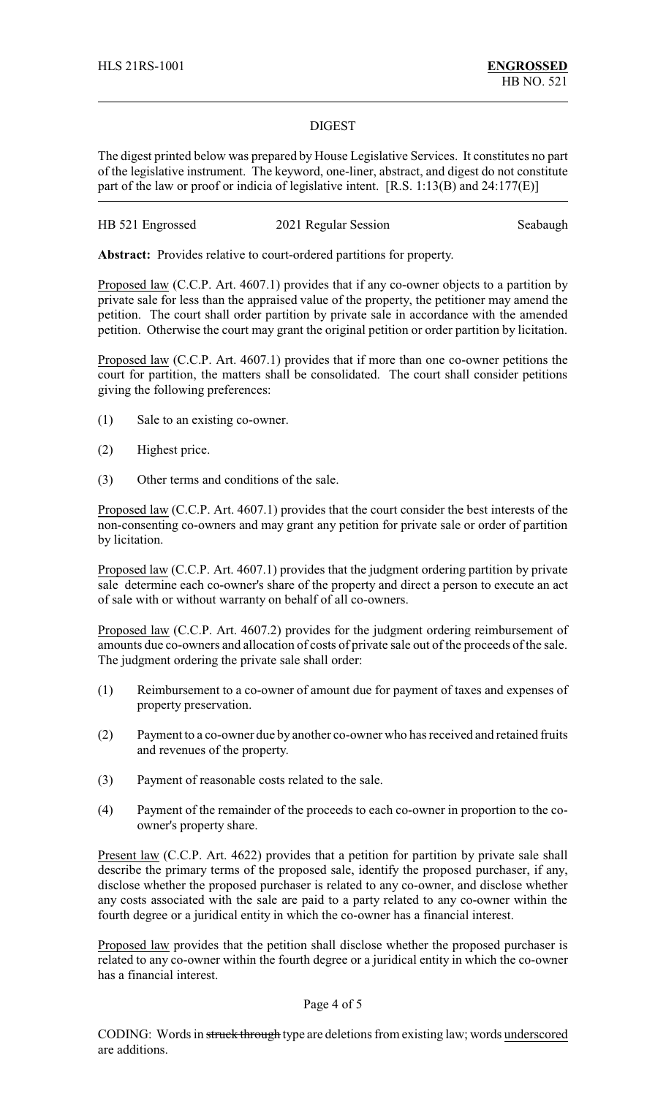## DIGEST

The digest printed below was prepared by House Legislative Services. It constitutes no part of the legislative instrument. The keyword, one-liner, abstract, and digest do not constitute part of the law or proof or indicia of legislative intent. [R.S. 1:13(B) and 24:177(E)]

| HB 521 Engrossed | 2021 Regular Session | Seabaugh |
|------------------|----------------------|----------|
|------------------|----------------------|----------|

**Abstract:** Provides relative to court-ordered partitions for property.

Proposed law (C.C.P. Art. 4607.1) provides that if any co-owner objects to a partition by private sale for less than the appraised value of the property, the petitioner may amend the petition. The court shall order partition by private sale in accordance with the amended petition. Otherwise the court may grant the original petition or order partition by licitation.

Proposed law (C.C.P. Art. 4607.1) provides that if more than one co-owner petitions the court for partition, the matters shall be consolidated. The court shall consider petitions giving the following preferences:

- (1) Sale to an existing co-owner.
- (2) Highest price.
- (3) Other terms and conditions of the sale.

Proposed law (C.C.P. Art. 4607.1) provides that the court consider the best interests of the non-consenting co-owners and may grant any petition for private sale or order of partition by licitation.

Proposed law (C.C.P. Art. 4607.1) provides that the judgment ordering partition by private sale determine each co-owner's share of the property and direct a person to execute an act of sale with or without warranty on behalf of all co-owners.

Proposed law (C.C.P. Art. 4607.2) provides for the judgment ordering reimbursement of amounts due co-owners and allocation of costs of private sale out of the proceeds of the sale. The judgment ordering the private sale shall order:

- (1) Reimbursement to a co-owner of amount due for payment of taxes and expenses of property preservation.
- (2) Payment to a co-owner due by another co-owner who has received and retained fruits and revenues of the property.
- (3) Payment of reasonable costs related to the sale.
- (4) Payment of the remainder of the proceeds to each co-owner in proportion to the coowner's property share.

Present law (C.C.P. Art. 4622) provides that a petition for partition by private sale shall describe the primary terms of the proposed sale, identify the proposed purchaser, if any, disclose whether the proposed purchaser is related to any co-owner, and disclose whether any costs associated with the sale are paid to a party related to any co-owner within the fourth degree or a juridical entity in which the co-owner has a financial interest.

Proposed law provides that the petition shall disclose whether the proposed purchaser is related to any co-owner within the fourth degree or a juridical entity in which the co-owner has a financial interest.

Page 4 of 5